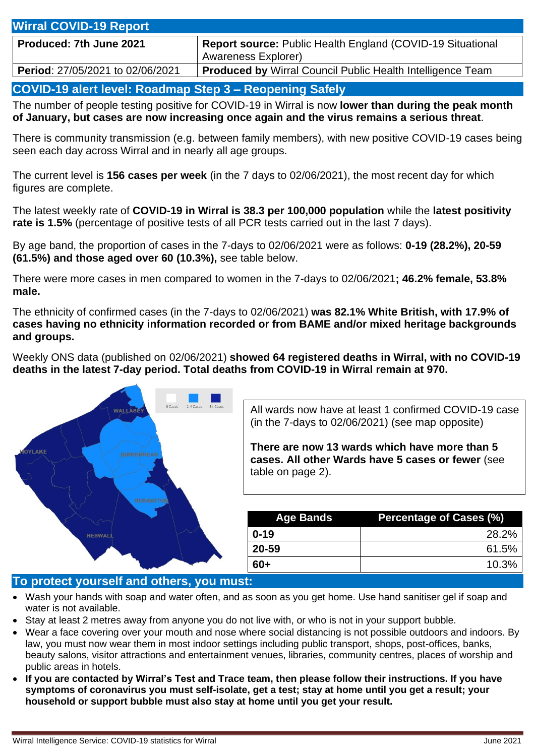| <b>Wirral COVID-19 Report</b>    |                                                                                          |  |
|----------------------------------|------------------------------------------------------------------------------------------|--|
| Produced: 7th June 2021          | <b>Report source: Public Health England (COVID-19 Situational</b><br>Awareness Explorer) |  |
| Period: 27/05/2021 to 02/06/2021 | <b>Produced by Wirral Council Public Health Intelligence Team</b>                        |  |

**COVID-19 alert level: Roadmap Step 3 – Reopening Safely**

The number of people testing positive for COVID-19 in Wirral is now **lower than during the peak month of January, but cases are now increasing once again and the virus remains a serious threat**.

There is community transmission (e.g. between family members), with new positive COVID-19 cases being seen each day across Wirral and in nearly all age groups.

The current level is **156 cases per week** (in the 7 days to 02/06/2021), the most recent day for which figures are complete.

The latest weekly rate of **COVID-19 in Wirral is 38.3 per 100,000 population** while the **latest positivity rate is 1.5%** (percentage of positive tests of all PCR tests carried out in the last 7 days).

By age band, the proportion of cases in the 7-days to 02/06/2021 were as follows: **0-19 (28.2%), 20-59 (61.5%) and those aged over 60 (10.3%),** see table below.

There were more cases in men compared to women in the 7-days to 02/06/2021**; 46.2% female, 53.8% male.**

The ethnicity of confirmed cases (in the 7-days to 02/06/2021) **was 82.1% White British, with 17.9% of cases having no ethnicity information recorded or from BAME and/or mixed heritage backgrounds and groups.**

Weekly ONS data (published on 02/06/2021) **showed 64 registered deaths in Wirral, with no COVID-19 deaths in the latest 7-day period. Total deaths from COVID-19 in Wirral remain at 970.**



All wards now have at least 1 confirmed COVID-19 case (in the 7-days to 02/06/2021) (see map opposite)

**There are now 13 wards which have more than 5 cases. All other Wards have 5 cases or fewer** (see table on page 2).

| Age Bands | <b>Percentage of Cases (%)</b> |
|-----------|--------------------------------|
| $0 - 19$  | 28.2%                          |
| 20-59     | 61.5%                          |
| 60+       | 10.3%                          |
|           |                                |

## **To protect yourself and others, you must:**

- Wash your hands with soap and water often, and as soon as you get home. Use hand sanitiser gel if soap and water is not available.
- Stay at least 2 metres away from anyone you do not live with, or who is not in your support bubble.
- Wear a face covering over your mouth and nose where social distancing is not possible outdoors and indoors. By law, you must now wear them in most indoor settings including public transport, shops, post-offices, banks, beauty salons, visitor attractions and entertainment venues, libraries, community centres, places of worship and public areas in hotels.
- **If you are contacted by Wirral's Test and Trace team, then please follow their instructions. If you have symptoms of coronavirus you must self-isolate, get a test; stay at home until you get a result; your household or support bubble must also stay at home until you get your result.**